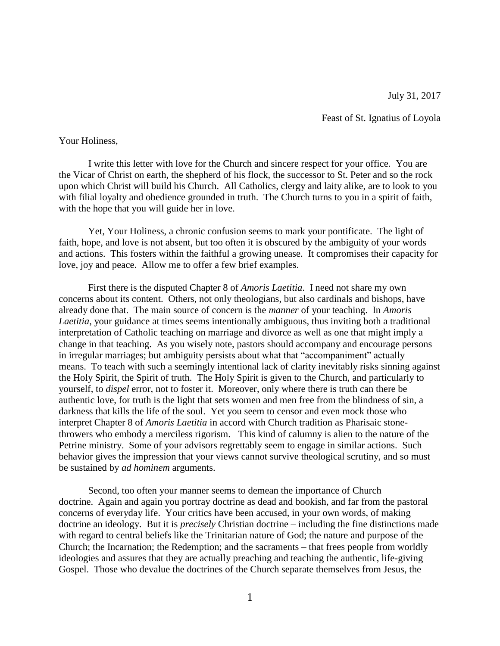Feast of St. Ignatius of Loyola

## Your Holiness,

 I write this letter with love for the Church and sincere respect for your office. You are the Vicar of Christ on earth, the shepherd of his flock, the successor to St. Peter and so the rock upon which Christ will build his Church. All Catholics, clergy and laity alike, are to look to you with filial loyalty and obedience grounded in truth. The Church turns to you in a spirit of faith, with the hope that you will guide her in love.

 Yet, Your Holiness, a chronic confusion seems to mark your pontificate. The light of faith, hope, and love is not absent, but too often it is obscured by the ambiguity of your words and actions. This fosters within the faithful a growing unease. It compromises their capacity for love, joy and peace. Allow me to offer a few brief examples.

 First there is the disputed Chapter 8 of *Amoris Laetitia*. I need not share my own concerns about its content. Others, not only theologians, but also cardinals and bishops, have already done that. The main source of concern is the *manner* of your teaching. In *Amoris Laetitia*, your guidance at times seems intentionally ambiguous, thus inviting both a traditional interpretation of Catholic teaching on marriage and divorce as well as one that might imply a change in that teaching. As you wisely note, pastors should accompany and encourage persons in irregular marriages; but ambiguity persists about what that "accompaniment" actually means. To teach with such a seemingly intentional lack of clarity inevitably risks sinning against the Holy Spirit, the Spirit of truth. The Holy Spirit is given to the Church, and particularly to yourself, to *dispel* error, not to foster it. Moreover, only where there is truth can there be authentic love, for truth is the light that sets women and men free from the blindness of sin, a darkness that kills the life of the soul. Yet you seem to censor and even mock those who interpret Chapter 8 of *Amoris Laetitia* in accord with Church tradition as Pharisaic stonethrowers who embody a merciless rigorism. This kind of calumny is alien to the nature of the Petrine ministry. Some of your advisors regrettably seem to engage in similar actions. Such behavior gives the impression that your views cannot survive theological scrutiny, and so must be sustained by *ad hominem* arguments.

 Second, too often your manner seems to demean the importance of Church doctrine. Again and again you portray doctrine as dead and bookish, and far from the pastoral concerns of everyday life. Your critics have been accused, in your own words, of making doctrine an ideology. But it is *precisely* Christian doctrine – including the fine distinctions made with regard to central beliefs like the Trinitarian nature of God; the nature and purpose of the Church; the Incarnation; the Redemption; and the sacraments – that frees people from worldly ideologies and assures that they are actually preaching and teaching the authentic, life-giving Gospel. Those who devalue the doctrines of the Church separate themselves from Jesus, the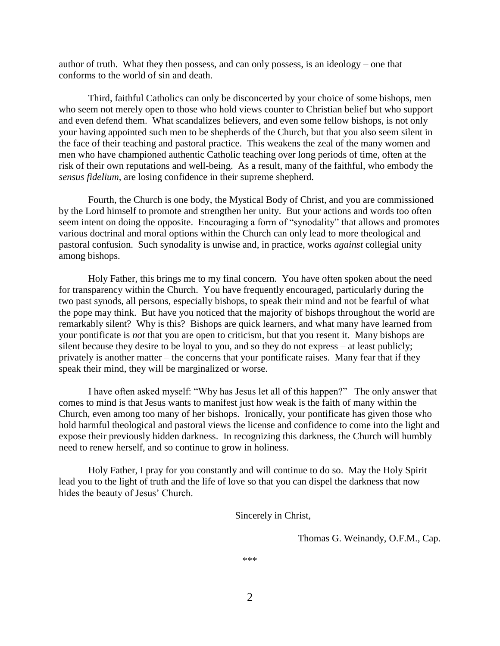author of truth. What they then possess, and can only possess, is an ideology – one that conforms to the world of sin and death.

 Third, faithful Catholics can only be disconcerted by your choice of some bishops, men who seem not merely open to those who hold views counter to Christian belief but who support and even defend them. What scandalizes believers, and even some fellow bishops, is not only your having appointed such men to be shepherds of the Church, but that you also seem silent in the face of their teaching and pastoral practice. This weakens the zeal of the many women and men who have championed authentic Catholic teaching over long periods of time, often at the risk of their own reputations and well-being. As a result, many of the faithful, who embody the *sensus fidelium*, are losing confidence in their supreme shepherd.

 Fourth, the Church is one body, the Mystical Body of Christ, and you are commissioned by the Lord himself to promote and strengthen her unity. But your actions and words too often seem intent on doing the opposite. Encouraging a form of "synodality" that allows and promotes various doctrinal and moral options within the Church can only lead to more theological and pastoral confusion. Such synodality is unwise and, in practice, works *against* collegial unity among bishops.

 Holy Father, this brings me to my final concern. You have often spoken about the need for transparency within the Church. You have frequently encouraged, particularly during the two past synods, all persons, especially bishops, to speak their mind and not be fearful of what the pope may think. But have you noticed that the majority of bishops throughout the world are remarkably silent? Why is this? Bishops are quick learners, and what many have learned from your pontificate is *not* that you are open to criticism, but that you resent it. Many bishops are silent because they desire to be loyal to you, and so they do not express – at least publicly; privately is another matter – the concerns that your pontificate raises. Many fear that if they speak their mind, they will be marginalized or worse.

 I have often asked myself: "Why has Jesus let all of this happen?" The only answer that comes to mind is that Jesus wants to manifest just how weak is the faith of many within the Church, even among too many of her bishops. Ironically, your pontificate has given those who hold harmful theological and pastoral views the license and confidence to come into the light and expose their previously hidden darkness. In recognizing this darkness, the Church will humbly need to renew herself, and so continue to grow in holiness.

 Holy Father, I pray for you constantly and will continue to do so. May the Holy Spirit lead you to the light of truth and the life of love so that you can dispel the darkness that now hides the beauty of Jesus' Church.

Sincerely in Christ,

Thomas G. Weinandy, O.F.M., Cap.

\*\*\*